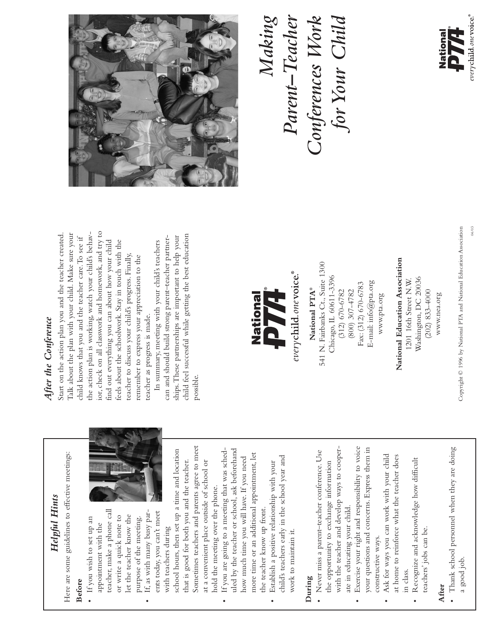

04/03

Copyright © 1996 by National PTA and National Education Association Copyright © 1996 by National PTA and National Education Association

## Parent–Teacher<br>Conferences Work<br>for Your Child *Parent–Teacher Conferences Work for Your Child*







## National Education Association **National Education Association** Washington, DC 20036 Washington, DC 20036 1201 16th Street N.W. 1201 16th Street N.W.  $(202)$  833-4000 (202) 833-4000

www.nea.org www.nea.org

everychild.one voice.® National PTA® **National PTA®**

www.pta.org www.pta.org

## After the Conference *After the Conference*

*Helpful Hints* Here are some guidelines to effective meetings:

Helpful Hints

Here are some guidelines to effective meetings:

**Before** 

• If you wish to set up an appointment with the teacher, make a phone call or write a quick note to let the teacher know the purpose of the meeting. • If, as with many busy parents today, you can't meet with teachers during

• If you wish to set up an appointment with the teacher, make a phone call

or write a quick note to let the teacher know the purpose of the meeting.

ior, check on all classwork and homework, and try to the action plan is working, watch your child's behavior, check on all classwork and homework, and try to Start on the action plan you and the teacher created. Start on the action plan you and the teacher created. Talk about the plan with your child. Make sure your Talk about the plan with your child. Make sure your the action plan is working, watch your child's behavchild knows that you and the teacher care. To see if child knows that you and the teacher care.To see if feels about the schoolwork. Stay in touch with the find out everything you can about how your child find out everything you can about how your child feels about the schoolwork. Stay in touch with the teacher to discuss your child's progress. Finally, teacher to discuss your child's progress. Finally, remember to express your appreciation to the remember to express your appreciation to the teacher as progress is made. teacher as progress is made.

child feel successful while getting the best education ships. These partnerships are important to help your child feel successful while getting the best education can and should build strong parent-teacher partnercan and should build strong parent–teacher partnerships.These partnerships are important to help your In summary, meeting with your child's teachers In summary, meeting with your child's teachers possible.

> school hours, then set up a time and location that is good for both you and the teacher. Sometimes teachers and parents agree to meet at a convenient place outside of school or

that is good for both you and the teacher.

school hours, then set up a time and location

ents today, you can't meet If, as with many busy par-

with teachers during

Sometimes teachers and parents agree to meet

at a convenient place outside of school or

hold the meeting over the phone.

hold the meeting over the phone.

• If you are going to a meeting that was scheduled by the teacher or school, ask beforehand how much time you will have. If you need more time or an additional appointment, let

If you are going to a meeting that was sched-

uled by the teacher or school, ask beforehand

the teacher know up front.

the teacher know up front.

more time or an additional appointment, let

how much time you will have. If you need

• Establish a positive relationship with your child's teachers early in the school year and

Establish a positive relationship with your

 $\ddot{\phantom{0}}$ 

child's teachers early in the school year and

work to maintain it.

work to maintain it.

**During**

• Never miss a parent–teacher conference. Use the opportunity to exchange information with the teacher and develop ways to cooper-

the opportunity to exchange information

· Never miss a parent-teacher conference. Use

ate in educating your child.

 $\bullet$ 

ate in educating your child.

with the teacher and develop ways to cooper-

constructive ways.

constructive ways.

• Ask for ways you can work with your child at home to reinforce what the teacher does

at home to reinforce what the teacher does

Ask for ways you can work with your child



# Exercise your right and responsibility to voice your questions and concerns. Express them in • Exercise your right and responsibility to voice your questions and concerns. Express them in

Recognize and acknowledge how difficult • Recognize and acknowledge how difficult teachers' jobs can be. teachers' jobs can be. in class.

## **After**

· Thank school personnel when they are doing • Thank school personnel when they are doing a good job.